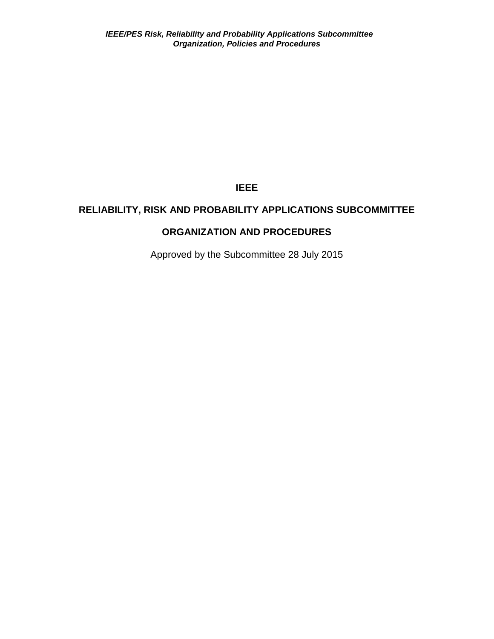**IEEE**

# **RELIABILITY, RISK AND PROBABILITY APPLICATIONS SUBCOMMITTEE**

# **ORGANIZATION AND PROCEDURES**

Approved by the Subcommittee 28 July 2015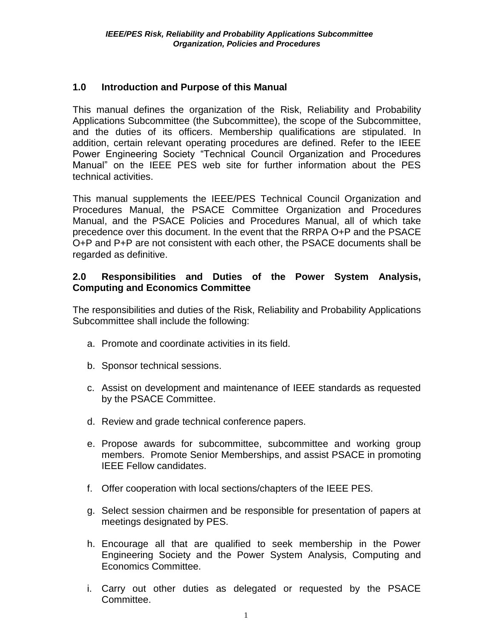#### **1.0 Introduction and Purpose of this Manual**

This manual defines the organization of the Risk, Reliability and Probability Applications Subcommittee (the Subcommittee), the scope of the Subcommittee, and the duties of its officers. Membership qualifications are stipulated. In addition, certain relevant operating procedures are defined. Refer to the IEEE Power Engineering Society "Technical Council Organization and Procedures Manual" on the IEEE PES web site for further information about the PES technical activities.

This manual supplements the IEEE/PES Technical Council Organization and Procedures Manual, the PSACE Committee Organization and Procedures Manual, and the PSACE Policies and Procedures Manual, all of which take precedence over this document. In the event that the RRPA O+P and the PSACE O+P and P+P are not consistent with each other, the PSACE documents shall be regarded as definitive.

#### **2.0 Responsibilities and Duties of the Power System Analysis, Computing and Economics Committee**

The responsibilities and duties of the Risk, Reliability and Probability Applications Subcommittee shall include the following:

- a. Promote and coordinate activities in its field.
- b. Sponsor technical sessions.
- c. Assist on development and maintenance of IEEE standards as requested by the PSACE Committee.
- d. Review and grade technical conference papers.
- e. Propose awards for subcommittee, subcommittee and working group members. Promote Senior Memberships, and assist PSACE in promoting IEEE Fellow candidates.
- f. Offer cooperation with local sections/chapters of the IEEE PES.
- g. Select session chairmen and be responsible for presentation of papers at meetings designated by PES.
- h. Encourage all that are qualified to seek membership in the Power Engineering Society and the Power System Analysis, Computing and Economics Committee.
- i. Carry out other duties as delegated or requested by the PSACE Committee.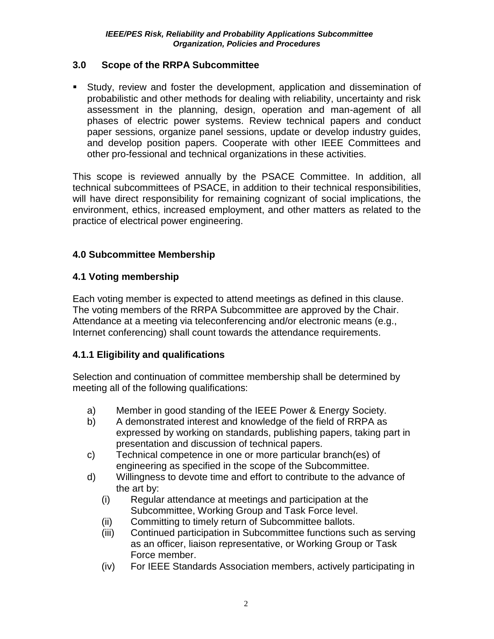### **3.0 Scope of the RRPA Subcommittee**

 Study, review and foster the development, application and dissemination of probabilistic and other methods for dealing with reliability, uncertainty and risk assessment in the planning, design, operation and man-agement of all phases of electric power systems. Review technical papers and conduct paper sessions, organize panel sessions, update or develop industry guides, and develop position papers. Cooperate with other IEEE Committees and other pro-fessional and technical organizations in these activities.

This scope is reviewed annually by the PSACE Committee. In addition, all technical subcommittees of PSACE, in addition to their technical responsibilities, will have direct responsibility for remaining cognizant of social implications, the environment, ethics, increased employment, and other matters as related to the practice of electrical power engineering.

## **4.0 Subcommittee Membership**

## **4.1 Voting membership**

Each voting member is expected to attend meetings as defined in this clause. The voting members of the RRPA Subcommittee are approved by the Chair. Attendance at a meeting via teleconferencing and/or electronic means (e.g., Internet conferencing) shall count towards the attendance requirements.

## **4.1.1 Eligibility and qualifications**

Selection and continuation of committee membership shall be determined by meeting all of the following qualifications:

- a) Member in good standing of the IEEE Power & Energy Society.
- b) A demonstrated interest and knowledge of the field of RRPA as expressed by working on standards, publishing papers, taking part in presentation and discussion of technical papers.
- c) Technical competence in one or more particular branch(es) of engineering as specified in the scope of the Subcommittee.
- d) Willingness to devote time and effort to contribute to the advance of the art by:
	- (i) Regular attendance at meetings and participation at the Subcommittee, Working Group and Task Force level.
	- (ii) Committing to timely return of Subcommittee ballots.
	- (iii) Continued participation in Subcommittee functions such as serving as an officer, liaison representative, or Working Group or Task Force member.
	- (iv) For IEEE Standards Association members, actively participating in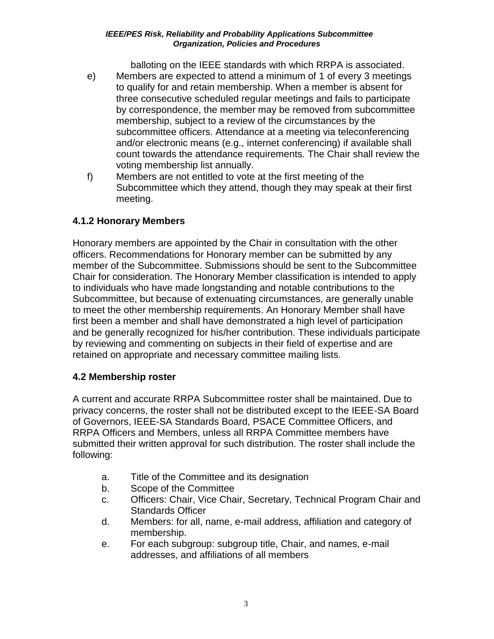#### *IEEE/PES Risk, Reliability and Probability Applications Subcommittee Organization, Policies and Procedures*

balloting on the IEEE standards with which RRPA is associated.

- e) Members are expected to attend a minimum of 1 of every 3 meetings to qualify for and retain membership. When a member is absent for three consecutive scheduled regular meetings and fails to participate by correspondence, the member may be removed from subcommittee membership, subject to a review of the circumstances by the subcommittee officers. Attendance at a meeting via teleconferencing and/or electronic means (e.g., internet conferencing) if available shall count towards the attendance requirements. The Chair shall review the voting membership list annually.
- f) Members are not entitled to vote at the first meeting of the Subcommittee which they attend, though they may speak at their first meeting.

## **4.1.2 Honorary Members**

Honorary members are appointed by the Chair in consultation with the other officers. Recommendations for Honorary member can be submitted by any member of the Subcommittee. Submissions should be sent to the Subcommittee Chair for consideration. The Honorary Member classification is intended to apply to individuals who have made longstanding and notable contributions to the Subcommittee, but because of extenuating circumstances, are generally unable to meet the other membership requirements. An Honorary Member shall have first been a member and shall have demonstrated a high level of participation and be generally recognized for his/her contribution. These individuals participate by reviewing and commenting on subjects in their field of expertise and are retained on appropriate and necessary committee mailing lists.

## **4.2 Membership roster**

A current and accurate RRPA Subcommittee roster shall be maintained. Due to privacy concerns, the roster shall not be distributed except to the IEEE-SA Board of Governors, IEEE-SA Standards Board, PSACE Committee Officers, and RRPA Officers and Members, unless all RRPA Committee members have submitted their written approval for such distribution. The roster shall include the following:

- a. Title of the Committee and its designation
- b. Scope of the Committee
- c. Officers: Chair, Vice Chair, Secretary, Technical Program Chair and Standards Officer
- d. Members: for all, name, e-mail address, affiliation and category of membership.
- e. For each subgroup: subgroup title, Chair, and names, e-mail addresses, and affiliations of all members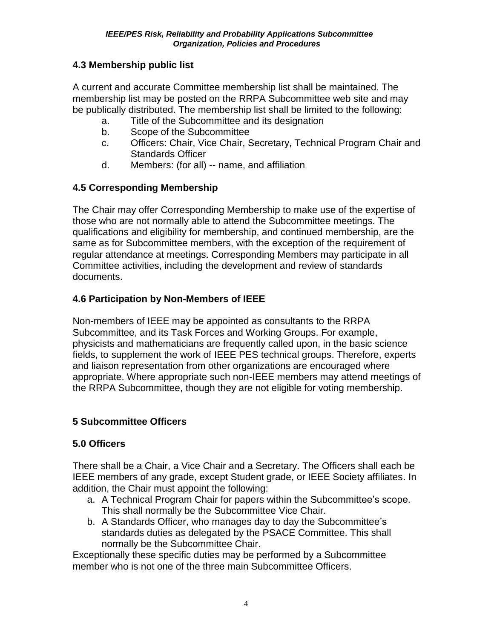## **4.3 Membership public list**

A current and accurate Committee membership list shall be maintained. The membership list may be posted on the RRPA Subcommittee web site and may be publically distributed. The membership list shall be limited to the following:

- a. Title of the Subcommittee and its designation
- b. Scope of the Subcommittee
- c. Officers: Chair, Vice Chair, Secretary, Technical Program Chair and Standards Officer
- d. Members: (for all) -- name, and affiliation

## **4.5 Corresponding Membership**

The Chair may offer Corresponding Membership to make use of the expertise of those who are not normally able to attend the Subcommittee meetings. The qualifications and eligibility for membership, and continued membership, are the same as for Subcommittee members, with the exception of the requirement of regular attendance at meetings. Corresponding Members may participate in all Committee activities, including the development and review of standards documents.

## **4.6 Participation by Non-Members of IEEE**

Non-members of IEEE may be appointed as consultants to the RRPA Subcommittee, and its Task Forces and Working Groups. For example, physicists and mathematicians are frequently called upon, in the basic science fields, to supplement the work of IEEE PES technical groups. Therefore, experts and liaison representation from other organizations are encouraged where appropriate. Where appropriate such non-IEEE members may attend meetings of the RRPA Subcommittee, though they are not eligible for voting membership.

## **5 Subcommittee Officers**

# **5.0 Officers**

There shall be a Chair, a Vice Chair and a Secretary. The Officers shall each be IEEE members of any grade, except Student grade, or IEEE Society affiliates. In addition, the Chair must appoint the following:

- a. A Technical Program Chair for papers within the Subcommittee's scope. This shall normally be the Subcommittee Vice Chair.
- b. A Standards Officer, who manages day to day the Subcommittee's standards duties as delegated by the PSACE Committee. This shall normally be the Subcommittee Chair.

Exceptionally these specific duties may be performed by a Subcommittee member who is not one of the three main Subcommittee Officers.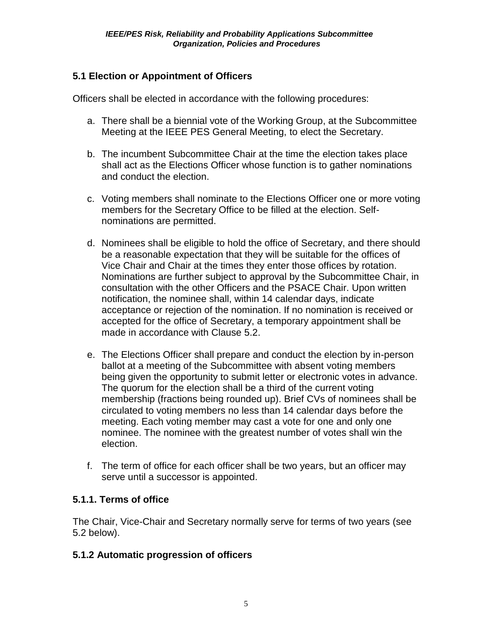# **5.1 Election or Appointment of Officers**

Officers shall be elected in accordance with the following procedures:

- a. There shall be a biennial vote of the Working Group, at the Subcommittee Meeting at the IEEE PES General Meeting, to elect the Secretary.
- b. The incumbent Subcommittee Chair at the time the election takes place shall act as the Elections Officer whose function is to gather nominations and conduct the election.
- c. Voting members shall nominate to the Elections Officer one or more voting members for the Secretary Office to be filled at the election. Selfnominations are permitted.
- d. Nominees shall be eligible to hold the office of Secretary, and there should be a reasonable expectation that they will be suitable for the offices of Vice Chair and Chair at the times they enter those offices by rotation. Nominations are further subject to approval by the Subcommittee Chair, in consultation with the other Officers and the PSACE Chair. Upon written notification, the nominee shall, within 14 calendar days, indicate acceptance or rejection of the nomination. If no nomination is received or accepted for the office of Secretary, a temporary appointment shall be made in accordance with Clause 5.2.
- e. The Elections Officer shall prepare and conduct the election by in-person ballot at a meeting of the Subcommittee with absent voting members being given the opportunity to submit letter or electronic votes in advance. The quorum for the election shall be a third of the current voting membership (fractions being rounded up). Brief CVs of nominees shall be circulated to voting members no less than 14 calendar days before the meeting. Each voting member may cast a vote for one and only one nominee. The nominee with the greatest number of votes shall win the election.
- f. The term of office for each officer shall be two years, but an officer may serve until a successor is appointed.

## **5.1.1. Terms of office**

The Chair, Vice-Chair and Secretary normally serve for terms of two years (see 5.2 below).

## **5.1.2 Automatic progression of officers**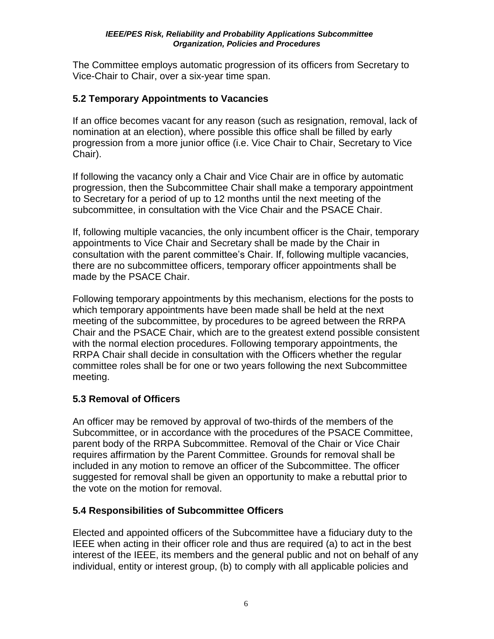The Committee employs automatic progression of its officers from Secretary to Vice-Chair to Chair, over a six-year time span.

## **5.2 Temporary Appointments to Vacancies**

If an office becomes vacant for any reason (such as resignation, removal, lack of nomination at an election), where possible this office shall be filled by early progression from a more junior office (i.e. Vice Chair to Chair, Secretary to Vice Chair).

If following the vacancy only a Chair and Vice Chair are in office by automatic progression, then the Subcommittee Chair shall make a temporary appointment to Secretary for a period of up to 12 months until the next meeting of the subcommittee, in consultation with the Vice Chair and the PSACE Chair.

If, following multiple vacancies, the only incumbent officer is the Chair, temporary appointments to Vice Chair and Secretary shall be made by the Chair in consultation with the parent committee's Chair. If, following multiple vacancies, there are no subcommittee officers, temporary officer appointments shall be made by the PSACE Chair.

Following temporary appointments by this mechanism, elections for the posts to which temporary appointments have been made shall be held at the next meeting of the subcommittee, by procedures to be agreed between the RRPA Chair and the PSACE Chair, which are to the greatest extend possible consistent with the normal election procedures. Following temporary appointments, the RRPA Chair shall decide in consultation with the Officers whether the regular committee roles shall be for one or two years following the next Subcommittee meeting.

# **5.3 Removal of Officers**

An officer may be removed by approval of two-thirds of the members of the Subcommittee, or in accordance with the procedures of the PSACE Committee, parent body of the RRPA Subcommittee. Removal of the Chair or Vice Chair requires affirmation by the Parent Committee. Grounds for removal shall be included in any motion to remove an officer of the Subcommittee. The officer suggested for removal shall be given an opportunity to make a rebuttal prior to the vote on the motion for removal.

## **5.4 Responsibilities of Subcommittee Officers**

Elected and appointed officers of the Subcommittee have a fiduciary duty to the IEEE when acting in their officer role and thus are required (a) to act in the best interest of the IEEE, its members and the general public and not on behalf of any individual, entity or interest group, (b) to comply with all applicable policies and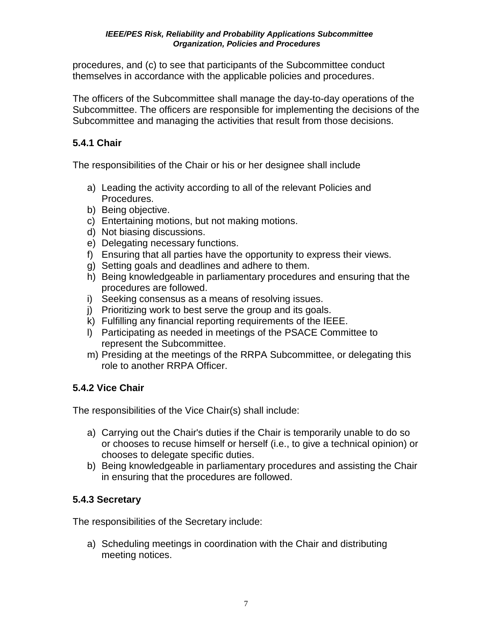procedures, and (c) to see that participants of the Subcommittee conduct themselves in accordance with the applicable policies and procedures.

The officers of the Subcommittee shall manage the day-to-day operations of the Subcommittee. The officers are responsible for implementing the decisions of the Subcommittee and managing the activities that result from those decisions.

## **5.4.1 Chair**

The responsibilities of the Chair or his or her designee shall include

- a) Leading the activity according to all of the relevant Policies and Procedures.
- b) Being objective.
- c) Entertaining motions, but not making motions.
- d) Not biasing discussions.
- e) Delegating necessary functions.
- f) Ensuring that all parties have the opportunity to express their views.
- g) Setting goals and deadlines and adhere to them.
- h) Being knowledgeable in parliamentary procedures and ensuring that the procedures are followed.
- i) Seeking consensus as a means of resolving issues.
- j) Prioritizing work to best serve the group and its goals.
- k) Fulfilling any financial reporting requirements of the IEEE.
- l) Participating as needed in meetings of the PSACE Committee to represent the Subcommittee.
- m) Presiding at the meetings of the RRPA Subcommittee, or delegating this role to another RRPA Officer.

# **5.4.2 Vice Chair**

The responsibilities of the Vice Chair(s) shall include:

- a) Carrying out the Chair's duties if the Chair is temporarily unable to do so or chooses to recuse himself or herself (i.e., to give a technical opinion) or chooses to delegate specific duties.
- b) Being knowledgeable in parliamentary procedures and assisting the Chair in ensuring that the procedures are followed.

# **5.4.3 Secretary**

The responsibilities of the Secretary include:

a) Scheduling meetings in coordination with the Chair and distributing meeting notices.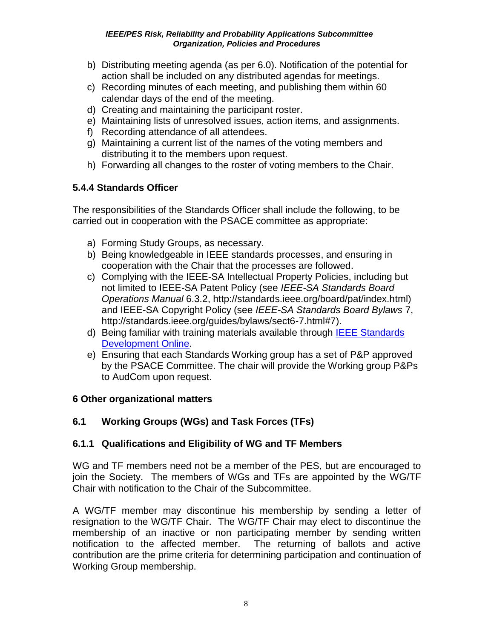#### *IEEE/PES Risk, Reliability and Probability Applications Subcommittee Organization, Policies and Procedures*

- b) Distributing meeting agenda (as per 6.0). Notification of the potential for action shall be included on any distributed agendas for meetings.
- c) Recording minutes of each meeting, and publishing them within 60 calendar days of the end of the meeting.
- d) Creating and maintaining the participant roster.
- e) Maintaining lists of unresolved issues, action items, and assignments.
- f) Recording attendance of all attendees.
- g) Maintaining a current list of the names of the voting members and distributing it to the members upon request.
- h) Forwarding all changes to the roster of voting members to the Chair.

# **5.4.4 Standards Officer**

The responsibilities of the Standards Officer shall include the following, to be carried out in cooperation with the PSACE committee as appropriate:

- a) Forming Study Groups, as necessary.
- b) Being knowledgeable in IEEE standards processes, and ensuring in cooperation with the Chair that the processes are followed.
- c) Complying with the [IEEE-SA Intellectual Property Policies,](http://standards.ieee.org/IPR/index.html) including but not limited to IEEE-SA Patent Policy (see *IEEE-SA Standards Board Operations Manual* 6.3.2, http://standards.ieee.org/board/pat/index.html) and IEEE-SA Copyright Policy (see *IEEE-SA Standards Board Bylaws* 7, [http://standards.ieee.org/guides/bylaws/sect6-7.html#7\)](http://standards.ieee.org/guides/bylaws/sect6-7.html#7).
- d) Being familiar with training materials available through [IEEE Standards](http://standards.ieee.org/develop/)  [Development Online.](http://standards.ieee.org/develop/)
- e) Ensuring that each Standards Working group has a set of P&P approved by the PSACE Committee. The chair will provide the Working group P&Ps to AudCom upon request.

# **6 Other organizational matters**

# **6.1 Working Groups (WGs) and Task Forces (TFs)**

# **6.1.1 Qualifications and Eligibility of WG and TF Members**

WG and TF members need not be a member of the PES, but are encouraged to join the Society. The members of WGs and TFs are appointed by the WG/TF Chair with notification to the Chair of the Subcommittee.

A WG/TF member may discontinue his membership by sending a letter of resignation to the WG/TF Chair. The WG/TF Chair may elect to discontinue the membership of an inactive or non participating member by sending written notification to the affected member. The returning of ballots and active contribution are the prime criteria for determining participation and continuation of Working Group membership.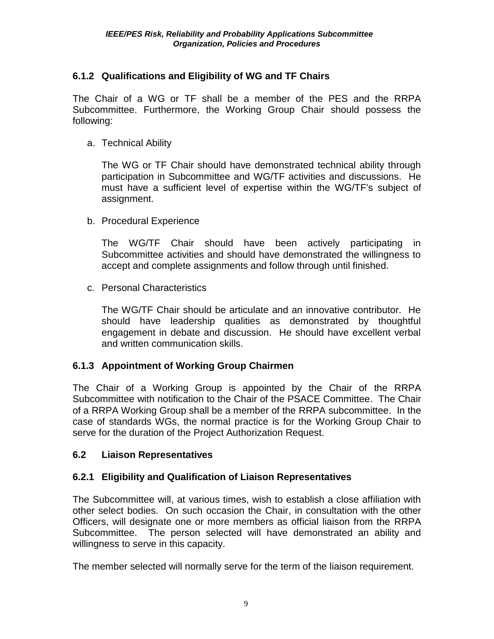## **6.1.2 Qualifications and Eligibility of WG and TF Chairs**

The Chair of a WG or TF shall be a member of the PES and the RRPA Subcommittee. Furthermore, the Working Group Chair should possess the following:

a. Technical Ability

The WG or TF Chair should have demonstrated technical ability through participation in Subcommittee and WG/TF activities and discussions. He must have a sufficient level of expertise within the WG/TF's subject of assignment.

b. Procedural Experience

The WG/TF Chair should have been actively participating in Subcommittee activities and should have demonstrated the willingness to accept and complete assignments and follow through until finished.

c. Personal Characteristics

The WG/TF Chair should be articulate and an innovative contributor. He should have leadership qualities as demonstrated by thoughtful engagement in debate and discussion. He should have excellent verbal and written communication skills.

## **6.1.3 Appointment of Working Group Chairmen**

The Chair of a Working Group is appointed by the Chair of the RRPA Subcommittee with notification to the Chair of the PSACE Committee. The Chair of a RRPA Working Group shall be a member of the RRPA subcommittee. In the case of standards WGs, the normal practice is for the Working Group Chair to serve for the duration of the Project Authorization Request.

## **6.2 Liaison Representatives**

## **6.2.1 Eligibility and Qualification of Liaison Representatives**

The Subcommittee will, at various times, wish to establish a close affiliation with other select bodies. On such occasion the Chair, in consultation with the other Officers, will designate one or more members as official liaison from the RRPA Subcommittee. The person selected will have demonstrated an ability and willingness to serve in this capacity.

The member selected will normally serve for the term of the liaison requirement.